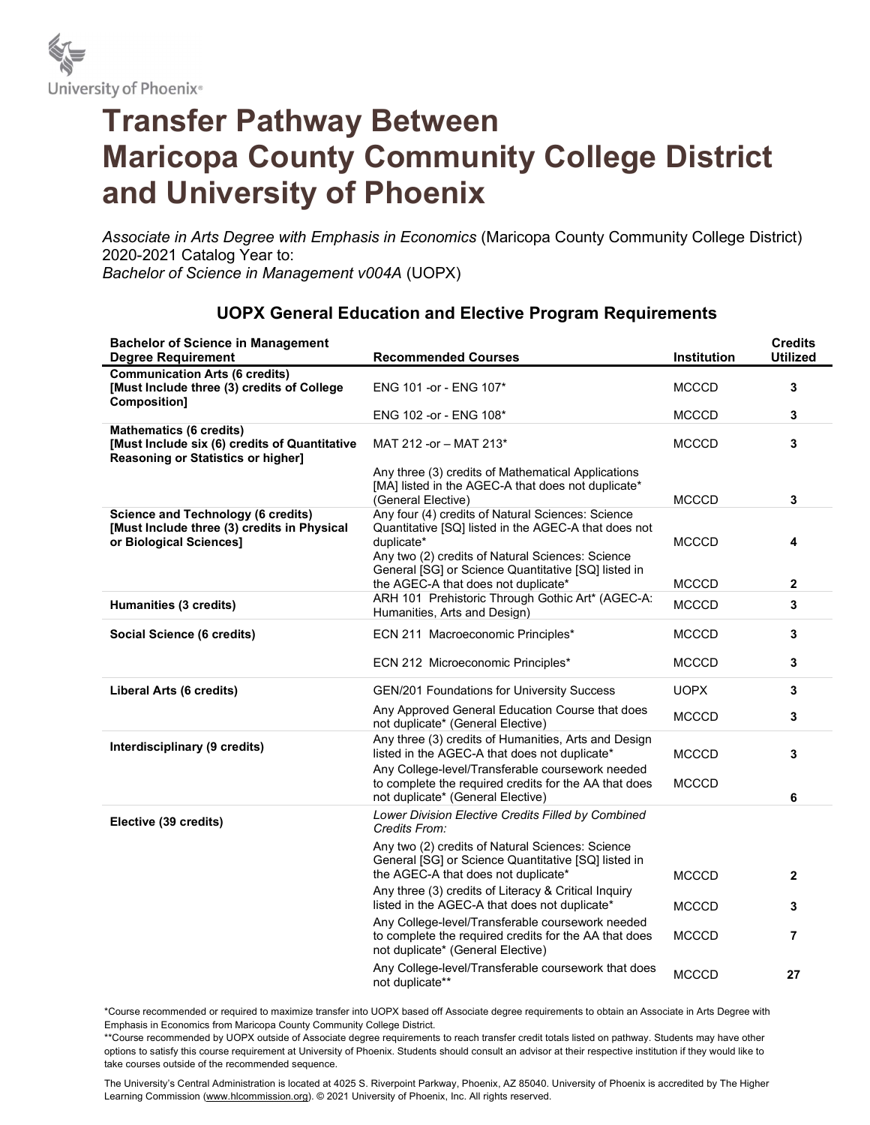

## Transfer Pathway Between Maricopa County Community College District and University of Phoenix

Associate in Arts Degree with Emphasis in Economics (Maricopa County Community College District) 2020-2021 Catalog Year to: Bachelor of Science in Management v004A (UOPX)

| <b>Bachelor of Science in Management</b><br><b>Degree Requirement</b>                                                        | <b>Recommended Courses</b>                                                                                                                                                                                                         | Institution  | <b>Credits</b><br><b>Utilized</b> |
|------------------------------------------------------------------------------------------------------------------------------|------------------------------------------------------------------------------------------------------------------------------------------------------------------------------------------------------------------------------------|--------------|-----------------------------------|
| <b>Communication Arts (6 credits)</b><br>[Must Include three (3) credits of College<br>Composition]                          | ENG 101 - or - ENG 107*                                                                                                                                                                                                            | <b>MCCCD</b> | 3                                 |
|                                                                                                                              | ENG 102 -or - ENG 108*                                                                                                                                                                                                             | <b>MCCCD</b> | 3                                 |
| <b>Mathematics (6 credits)</b><br>[Must Include six (6) credits of Quantitative<br><b>Reasoning or Statistics or higher]</b> | MAT 212 -or - MAT 213*                                                                                                                                                                                                             | <b>MCCCD</b> | 3                                 |
|                                                                                                                              | Any three (3) credits of Mathematical Applications<br>[MA] listed in the AGEC-A that does not duplicate*<br>(General Elective)                                                                                                     | <b>MCCCD</b> | 3                                 |
| <b>Science and Technology (6 credits)</b><br>[Must Include three (3) credits in Physical<br>or Biological Sciences]          | Any four (4) credits of Natural Sciences: Science<br>Quantitative [SQ] listed in the AGEC-A that does not<br>duplicate*<br>Any two (2) credits of Natural Sciences: Science<br>General [SG] or Science Quantitative [SQ] listed in | <b>MCCCD</b> | 4                                 |
|                                                                                                                              | the AGEC-A that does not duplicate*                                                                                                                                                                                                | <b>MCCCD</b> | $\mathbf{2}$                      |
| Humanities (3 credits)                                                                                                       | ARH 101 Prehistoric Through Gothic Art* (AGEC-A:<br>Humanities, Arts and Design)                                                                                                                                                   | <b>MCCCD</b> | 3                                 |
| Social Science (6 credits)                                                                                                   | ECN 211 Macroeconomic Principles*                                                                                                                                                                                                  | <b>MCCCD</b> | 3                                 |
|                                                                                                                              | ECN 212 Microeconomic Principles*                                                                                                                                                                                                  | <b>MCCCD</b> | 3                                 |
| Liberal Arts (6 credits)                                                                                                     | GEN/201 Foundations for University Success                                                                                                                                                                                         | <b>UOPX</b>  | 3                                 |
|                                                                                                                              | Any Approved General Education Course that does<br>not duplicate* (General Elective)                                                                                                                                               | <b>MCCCD</b> | 3                                 |
| Interdisciplinary (9 credits)                                                                                                | Any three (3) credits of Humanities, Arts and Design<br>listed in the AGEC-A that does not duplicate*<br>Any College-level/Transferable coursework needed                                                                          | <b>MCCCD</b> | 3                                 |
|                                                                                                                              | to complete the required credits for the AA that does<br>not duplicate* (General Elective)                                                                                                                                         | <b>MCCCD</b> | 6                                 |
| Elective (39 credits)                                                                                                        | Lower Division Elective Credits Filled by Combined<br>Credits From:                                                                                                                                                                |              |                                   |
|                                                                                                                              | Any two (2) credits of Natural Sciences: Science<br>General [SG] or Science Quantitative [SQ] listed in<br>the AGEC-A that does not duplicate*                                                                                     |              |                                   |
|                                                                                                                              | Any three (3) credits of Literacy & Critical Inquiry                                                                                                                                                                               | <b>MCCCD</b> | $\mathbf{2}$                      |
|                                                                                                                              | listed in the AGEC-A that does not duplicate*                                                                                                                                                                                      | <b>MCCCD</b> | 3                                 |
|                                                                                                                              | Any College-level/Transferable coursework needed<br>to complete the required credits for the AA that does<br>not duplicate* (General Elective)                                                                                     | <b>MCCCD</b> | $\overline{7}$                    |
|                                                                                                                              | Any College-level/Transferable coursework that does<br>not duplicate**                                                                                                                                                             | <b>MCCCD</b> | 27                                |

## UOPX General Education and Elective Program Requirements

\*Course recommended or required to maximize transfer into UOPX based off Associate degree requirements to obtain an Associate in Arts Degree with Emphasis in Economics from Maricopa County Community College District.

\*\*Course recommended by UOPX outside of Associate degree requirements to reach transfer credit totals listed on pathway. Students may have other options to satisfy this course requirement at University of Phoenix. Students should consult an advisor at their respective institution if they would like to take courses outside of the recommended sequence.

The University's Central Administration is located at 4025 S. Riverpoint Parkway, Phoenix, AZ 85040. University of Phoenix is accredited by The Higher Learning Commission (www.hlcommission.org). © 2021 University of Phoenix, Inc. All rights reserved.